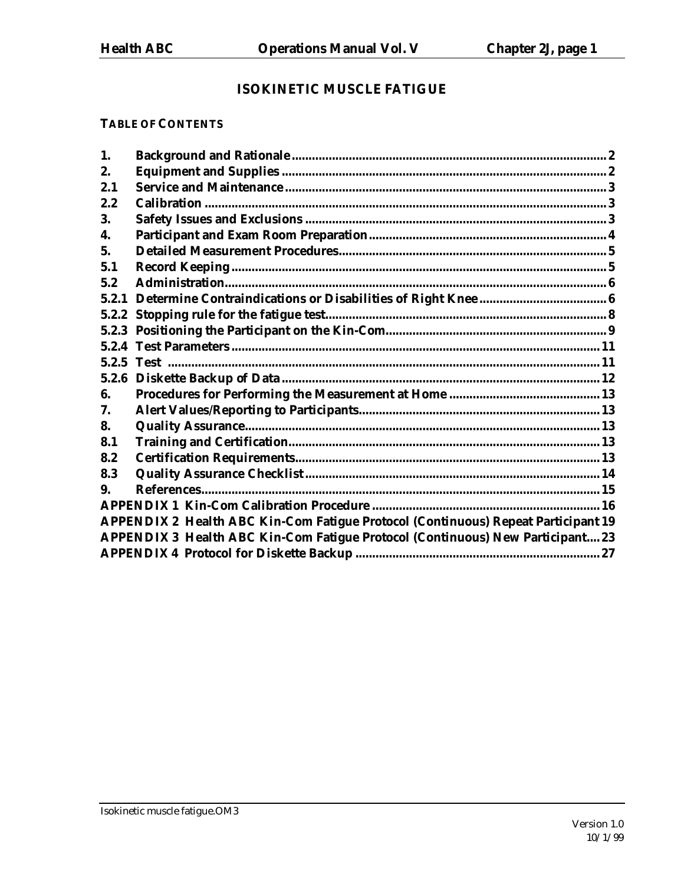# **ISOKINETIC MUSCLE FATIGUE**

# **TABLE OF CONTENTS**

| 1.    |                                                                                       |  |
|-------|---------------------------------------------------------------------------------------|--|
| 2.    |                                                                                       |  |
| 2.1   |                                                                                       |  |
| 2.2   |                                                                                       |  |
| 3.    |                                                                                       |  |
| 4.    |                                                                                       |  |
| 5.    |                                                                                       |  |
| 5.1   |                                                                                       |  |
| 5.2   |                                                                                       |  |
| 5.2.1 |                                                                                       |  |
| 5.2.2 |                                                                                       |  |
|       |                                                                                       |  |
|       |                                                                                       |  |
|       |                                                                                       |  |
|       |                                                                                       |  |
| 6.    |                                                                                       |  |
| 7.    |                                                                                       |  |
| 8.    |                                                                                       |  |
| 8.1   |                                                                                       |  |
| 8.2   |                                                                                       |  |
| 8.3   |                                                                                       |  |
| 9.    |                                                                                       |  |
|       |                                                                                       |  |
|       | APPENDIX 2 Health ABC Kin-Com Fatigue Protocol (Continuous) Repeat Participant 19     |  |
|       | <b>APPENDIX 3 Health ABC Kin-Com Fatigue Protocol (Continuous) New Participant 23</b> |  |
|       |                                                                                       |  |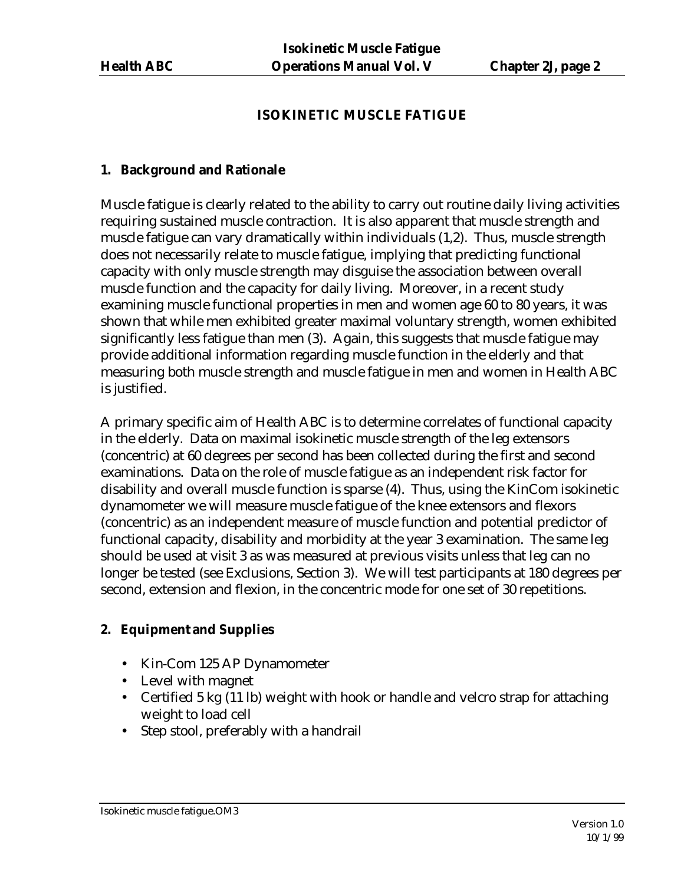### **ISOKINETIC MUSCLE FATIGUE**

#### **1. Background and Rationale**

Muscle fatigue is clearly related to the ability to carry out routine daily living activities requiring sustained muscle contraction. It is also apparent that muscle strength and muscle fatigue can vary dramatically within individuals (1,2). Thus, muscle strength does not necessarily relate to muscle fatigue, implying that predicting functional capacity with only muscle strength may disguise the association between overall muscle function and the capacity for daily living. Moreover, in a recent study examining muscle functional properties in men and women age 60 to 80 years, it was shown that while men exhibited greater maximal voluntary strength, women exhibited significantly less fatigue than men (3). Again, this suggests that muscle fatigue may provide additional information regarding muscle function in the elderly and that measuring both muscle strength and muscle fatigue in men and women in Health ABC is justified.

A primary specific aim of Health ABC is to determine correlates of functional capacity in the elderly. Data on maximal isokinetic muscle strength of the leg extensors (concentric) at 60 degrees per second has been collected during the first and second examinations. Data on the role of muscle fatigue as an independent risk factor for disability and overall muscle function is sparse (4). Thus, using the KinCom isokinetic dynamometer we will measure muscle fatigue of the knee extensors and flexors (concentric) as an independent measure of muscle function and potential predictor of functional capacity, disability and morbidity at the year 3 examination. The same leg should be used at visit 3 as was measured at previous visits unless that leg can no longer be tested (see Exclusions, Section 3). We will test participants at 180 degrees per second, extension and flexion, in the concentric mode for one set of 30 repetitions.

# **2. Equipment and Supplies**

- Kin-Com 125 AP Dynamometer
- Level with magnet
- Certified 5 kg (11 lb) weight with hook or handle and velcro strap for attaching weight to load cell
- Step stool, preferably with a handrail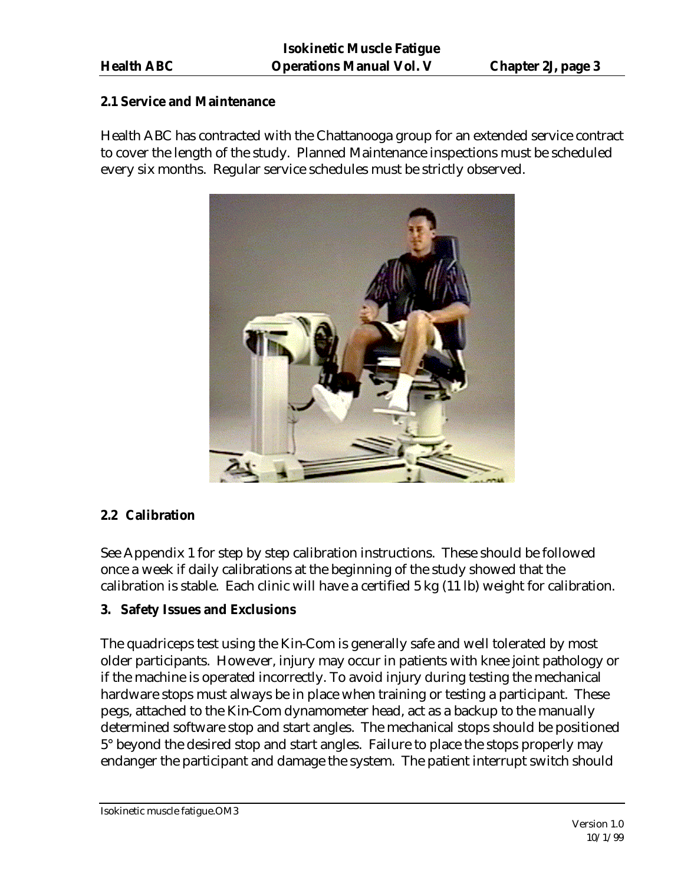#### **2.1 Service and Maintenance**

Health ABC has contracted with the Chattanooga group for an extended service contract to cover the length of the study. Planned Maintenance inspections must be scheduled every six months. Regular service schedules must be strictly observed.



# **2.2 Calibration**

See Appendix 1 for step by step calibration instructions. These should be followed once a week if daily calibrations at the beginning of the study showed that the calibration is stable. Each clinic will have a certified 5 kg (11 lb) weight for calibration.

# **3. Safety Issues and Exclusions**

The quadriceps test using the Kin-Com is generally safe and well tolerated by most older participants. However, injury may occur in patients with knee joint pathology or if the machine is operated incorrectly. To avoid injury during testing the mechanical hardware stops must always be in place when training or testing a participant. These pegs, attached to the Kin-Com dynamometer head, act as a backup to the manually determined software stop and start angles. The mechanical stops should be positioned 5° beyond the desired stop and start angles. Failure to place the stops properly may endanger the participant and damage the system. The patient interrupt switch should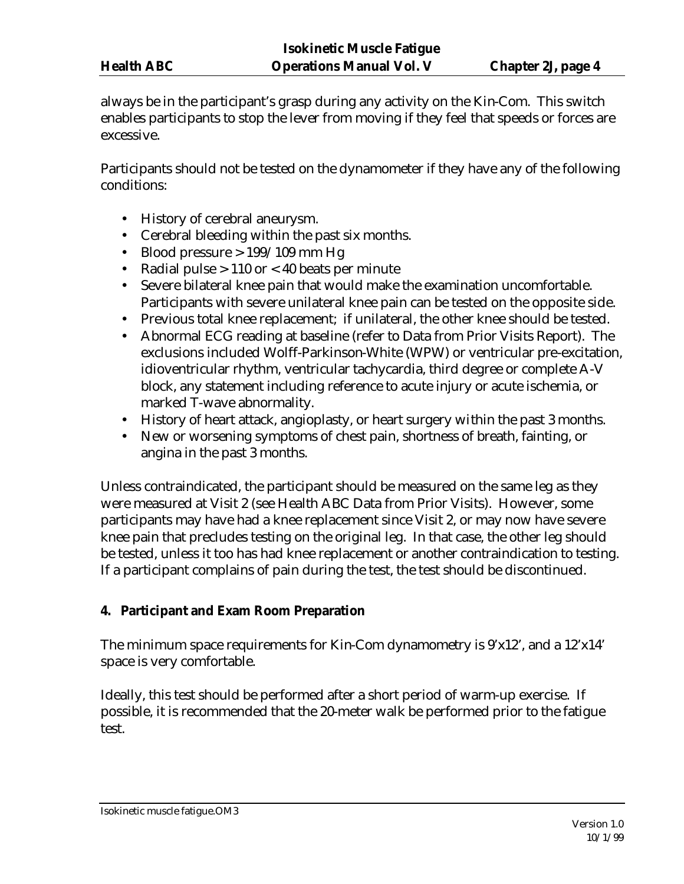always be in the participant's grasp during any activity on the Kin-Com. This switch enables participants to stop the lever from moving if they feel that speeds or forces are excessive.

Participants should not be tested on the dynamometer if they have any of the following conditions:

- History of cerebral aneurysm.
- Cerebral bleeding within the past six months.
- Blood pressure  $> 199/109$  mm Hg
- Radial pulse  $> 110$  or  $< 40$  beats per minute
- Severe bilateral knee pain that would make the examination uncomfortable. Participants with severe unilateral knee pain can be tested on the opposite side.
- Previous total knee replacement; if unilateral, the other knee should be tested.
- Abnormal ECG reading at baseline (refer to Data from Prior Visits Report). The exclusions included Wolff-Parkinson-White (WPW) or ventricular pre-excitation, idioventricular rhythm, ventricular tachycardia, third degree or complete A-V block, any statement including reference to acute injury or acute ischemia, or marked T-wave abnormality.
- History of heart attack, angioplasty, or heart surgery within the past 3 months.
- New or worsening symptoms of chest pain, shortness of breath, fainting, or angina in the past 3 months.

Unless contraindicated, the participant should be measured on the same leg as they were measured at Visit 2 (see Health ABC Data from Prior Visits). However, some participants may have had a knee replacement since Visit 2, or may now have severe knee pain that precludes testing on the original leg. In that case, the other leg should be tested, unless it too has had knee replacement or another contraindication to testing. If a participant complains of pain during the test, the test should be discontinued.

#### **4. Participant and Exam Room Preparation**

The minimum space requirements for Kin-Com dynamometry is 9'x12', and a 12'x14' space is very comfortable.

Ideally, this test should be performed after a short period of warm-up exercise. If possible, it is recommended that the 20-meter walk be performed prior to the fatigue test.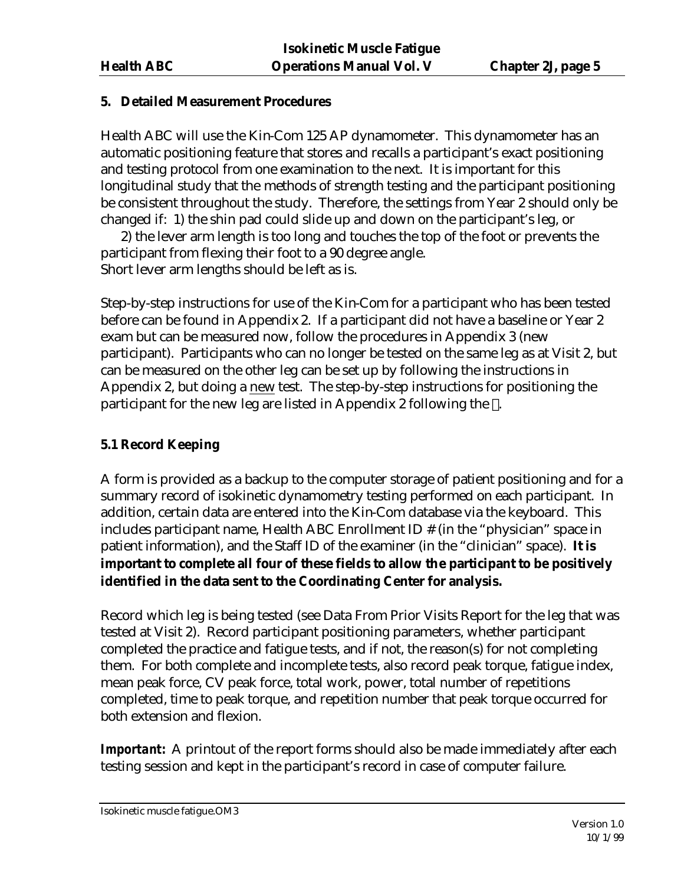#### **5. Detailed Measurement Procedures**

Health ABC will use the Kin-Com 125 AP dynamometer. This dynamometer has an automatic positioning feature that stores and recalls a participant's exact positioning and testing protocol from one examination to the next. It is important for this longitudinal study that the methods of strength testing and the participant positioning be consistent throughout the study. Therefore, the settings from Year 2 should only be changed if: 1) the shin pad could slide up and down on the participant's leg, or

2) the lever arm length is too long and touches the top of the foot or prevents the participant from flexing their foot to a 90 degree angle. Short lever arm lengths should be left as is.

Step-by-step instructions for use of the Kin-Com for a participant who has been tested before can be found in Appendix 2. If a participant did not have a baseline or Year 2 exam but can be measured now, follow the procedures in Appendix 3 (new participant). Participants who can no longer be tested on the same leg as at Visit 2, but can be measured on the other leg can be set up by following the instructions in Appendix 2, but doing a new test. The step-by-step instructions for positioning the participant for the new leg are listed in Appendix 2 following the .

# **5.1 Record Keeping**

A form is provided as a backup to the computer storage of patient positioning and for a summary record of isokinetic dynamometry testing performed on each participant. In addition, certain data are entered into the Kin-Com database via the keyboard. This includes participant name, Health ABC Enrollment ID # (in the "physician" space in patient information), and the Staff ID of the examiner (in the "clinician" space). **It is important to complete all four of these fields to allow the participant to be positively identified in the data sent to the Coordinating Center for analysis.**

Record which leg is being tested (see Data From Prior Visits Report for the leg that was tested at Visit 2). Record participant positioning parameters, whether participant completed the practice and fatigue tests, and if not, the reason(s) for not completing them. For both complete and incomplete tests, also record peak torque, fatigue index, mean peak force, CV peak force, total work, power, total number of repetitions completed, time to peak torque, and repetition number that peak torque occurred for both extension and flexion.

**Important:** A printout of the report forms should also be made immediately after each testing session and kept in the participant's record in case of computer failure.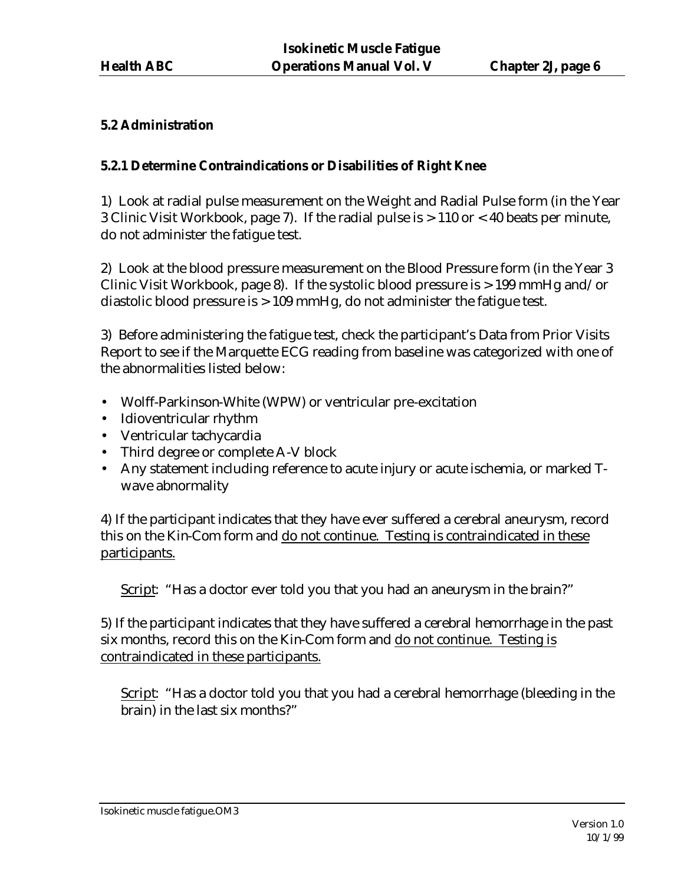#### **5.2 Administration**

#### **5.2.1 Determine Contraindications or Disabilities of Right Knee**

1) Look at radial pulse measurement on the Weight and Radial Pulse form (in the Year 3 Clinic Visit Workbook, page 7). If the radial pulse is > 110 or < 40 beats per minute, do not administer the fatigue test.

2) Look at the blood pressure measurement on the Blood Pressure form (in the Year 3 Clinic Visit Workbook, page 8). If the systolic blood pressure is > 199 mmHg and/or diastolic blood pressure is > 109 mmHg, do not administer the fatigue test.

3) Before administering the fatigue test, check the participant's Data from Prior Visits Report to see if the Marquette ECG reading from baseline was categorized with one of the abnormalities listed below:

- Wolff-Parkinson-White (WPW) or ventricular pre-excitation
- Idioventricular rhythm
- Ventricular tachycardia
- Third degree or complete A-V block
- Any statement including reference to acute injury or acute ischemia, or marked Twave abnormality

4) If the participant indicates that they have ever suffered a cerebral aneurysm, record this on the Kin-Com form and do not continue. Testing is contraindicated in these participants.

Script: "Has a doctor ever told you that you had an aneurysm in the brain?"

5) If the participant indicates that they have suffered a cerebral hemorrhage in the past six months, record this on the Kin-Com form and do not continue. Testing is contraindicated in these participants.

Script: "Has a doctor told you that you had a cerebral hemorrhage (bleeding in the brain) in the last six months?"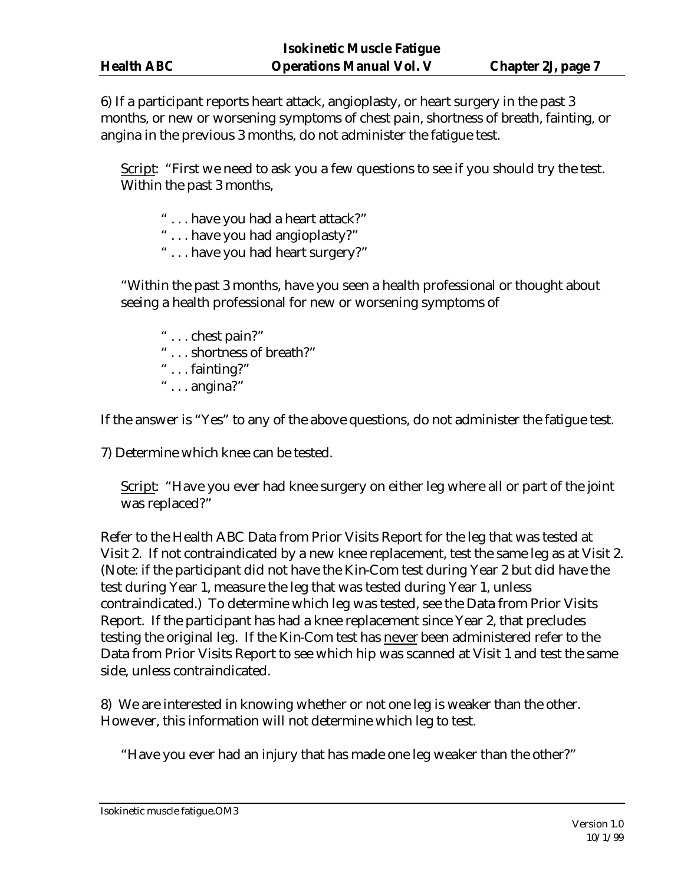6) If a participant reports heart attack, angioplasty, or heart surgery in the past 3 months, or new or worsening symptoms of chest pain, shortness of breath, fainting, or angina in the previous 3 months, do not administer the fatigue test.

Script: "First we need to ask you a few questions to see if you should try the test. Within the past 3 months,

- " . . . have you had a heart attack?"
- ... have you had angioplasty?"
- " . . . have you had heart surgery?"

"Within the past 3 months, have you seen a health professional or thought about seeing a health professional for new or worsening symptoms of

- " . . . chest pain?"
- ... shortness of breath?"
- " . . . fainting?"
- " . . . angina?"

If the answer is "Yes" to any of the above questions, do not administer the fatigue test.

7) Determine which knee can be tested.

Script: "Have you ever had knee surgery on either leg where all or part of the joint was replaced?"

Refer to the Health ABC Data from Prior Visits Report for the leg that was tested at Visit 2. If not contraindicated by a new knee replacement, test the same leg as at Visit 2. (Note: if the participant did not have the Kin-Com test during Year 2 but did have the test during Year 1, measure the leg that was tested during Year 1, unless contraindicated.) To determine which leg was tested, see the Data from Prior Visits Report. If the participant has had a knee replacement since Year 2, that precludes testing the original leg. If the Kin-Com test has never been administered refer to the Data from Prior Visits Report to see which hip was scanned at Visit 1 and test the same side, unless contraindicated.

8) We are interested in knowing whether or not one leg is weaker than the other. However, this information will not determine which leg to test.

"Have you ever had an injury that has made one leg weaker than the other?"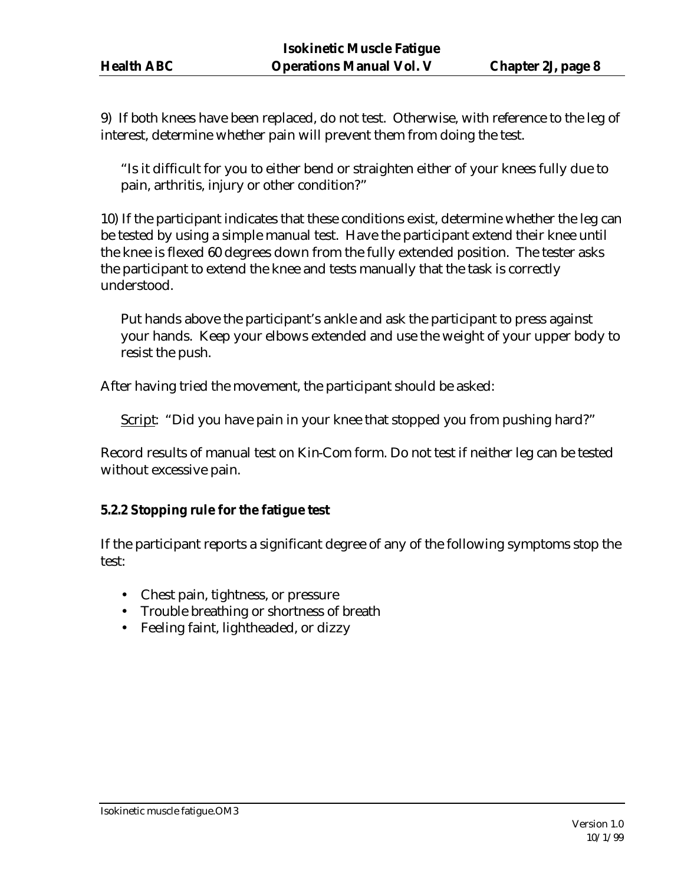9) If both knees have been replaced, do not test. Otherwise, with reference to the leg of interest, determine whether pain will prevent them from doing the test.

"Is it difficult for you to either bend or straighten either of your knees fully due to pain, arthritis, injury or other condition?"

10) If the participant indicates that these conditions exist, determine whether the leg can be tested by using a simple manual test. Have the participant extend their knee until the knee is flexed 60 degrees down from the fully extended position. The tester asks the participant to extend the knee and tests manually that the task is correctly understood.

Put hands above the participant's ankle and ask the participant to press against your hands. Keep your elbows extended and use the weight of your upper body to resist the push.

After having tried the movement, the participant should be asked:

Script: "Did you have pain in your knee that stopped you from pushing hard?"

Record results of manual test on Kin-Com form. Do not test if neither leg can be tested without excessive pain.

#### **5.2.2 Stopping rule for the fatigue test**

If the participant reports a significant degree of any of the following symptoms stop the test:

- Chest pain, tightness, or pressure
- Trouble breathing or shortness of breath
- Feeling faint, lightheaded, or dizzy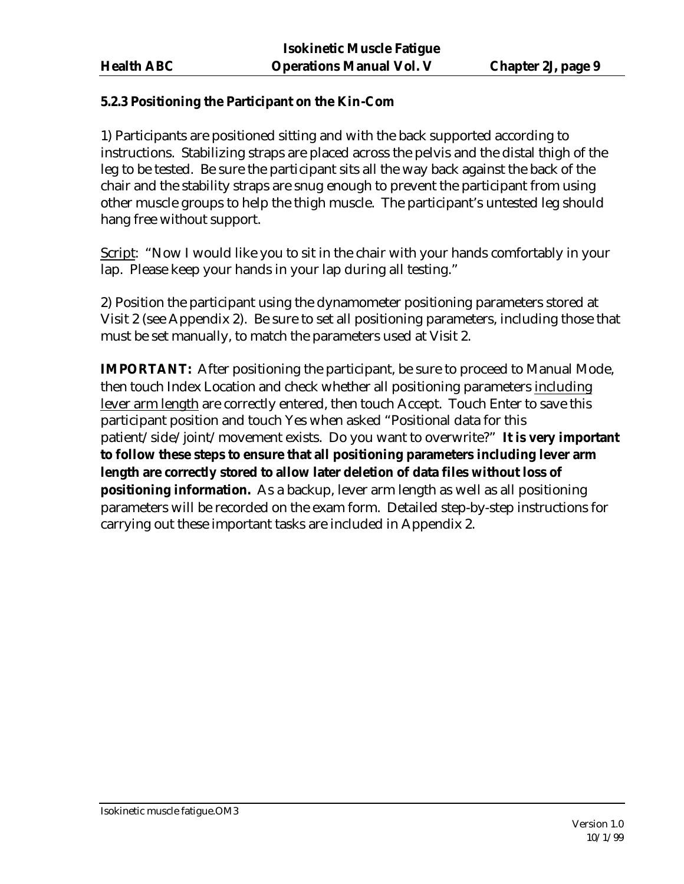#### **5.2.3 Positioning the Participant on the Kin-Com**

1) Participants are positioned sitting and with the back supported according to instructions. Stabilizing straps are placed across the pelvis and the distal thigh of the leg to be tested. Be sure the participant sits all the way back against the back of the chair and the stability straps are snug enough to prevent the participant from using other muscle groups to help the thigh muscle. The participant's untested leg should hang free without support.

Script: "Now I would like you to sit in the chair with your hands comfortably in your lap. Please keep your hands in your lap during all testing."

2) Position the participant using the dynamometer positioning parameters stored at Visit 2 (see Appendix 2). Be sure to set all positioning parameters, including those that must be set manually, to match the parameters used at Visit 2.

**IMPORTANT:** After positioning the participant, be sure to proceed to Manual Mode, then touch Index Location and check whether all positioning parameters including lever arm length are correctly entered, then touch Accept. Touch Enter to save this participant position and touch Yes when asked "Positional data for this patient/side/joint/movement exists. Do you want to overwrite?" **It is very important to follow these steps to ensure that all positioning parameters including lever arm length are correctly stored to allow later deletion of data files without loss of positioning information.** As a backup, lever arm length as well as all positioning parameters will be recorded on the exam form. Detailed step-by-step instructions for carrying out these important tasks are included in Appendix 2.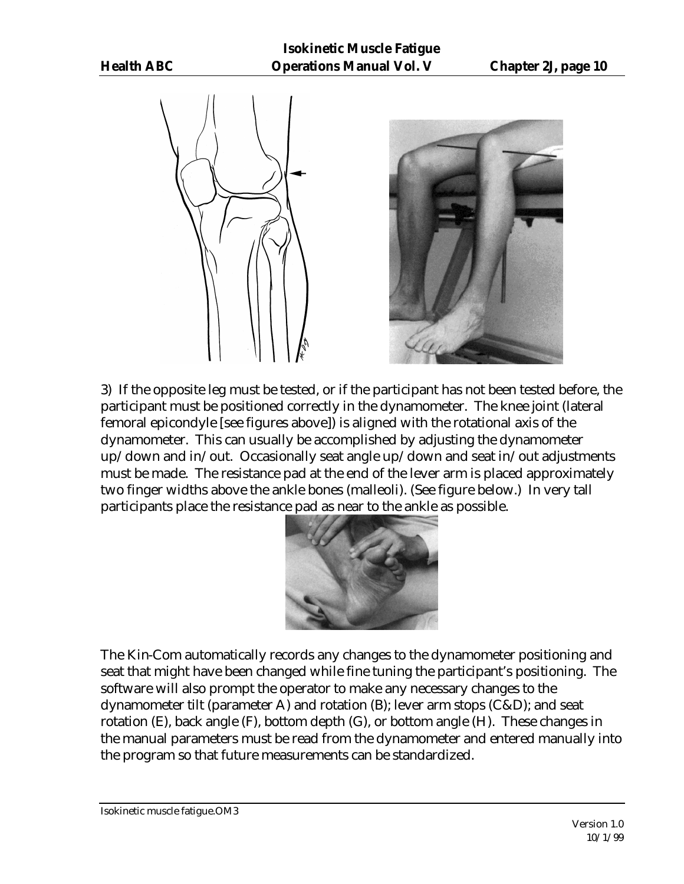



3) If the opposite leg must be tested, or if the participant has not been tested before, the participant must be positioned correctly in the dynamometer. The knee joint (lateral femoral epicondyle [see figures above]) is aligned with the rotational axis of the dynamometer. This can usually be accomplished by adjusting the dynamometer up/down and in/out. Occasionally seat angle up/down and seat in/out adjustments must be made. The resistance pad at the end of the lever arm is placed approximately two finger widths above the ankle bones (malleoli). (See figure below.) In very tall participants place the resistance pad as near to the ankle as possible.



The Kin-Com automatically records any changes to the dynamometer positioning and seat that might have been changed while fine tuning the participant's positioning. The software will also prompt the operator to make any necessary changes to the dynamometer tilt (parameter A) and rotation (B); lever arm stops (C&D); and seat rotation (E), back angle (F), bottom depth (G), or bottom angle (H). These changes in the manual parameters must be read from the dynamometer and entered manually into the program so that future measurements can be standardized.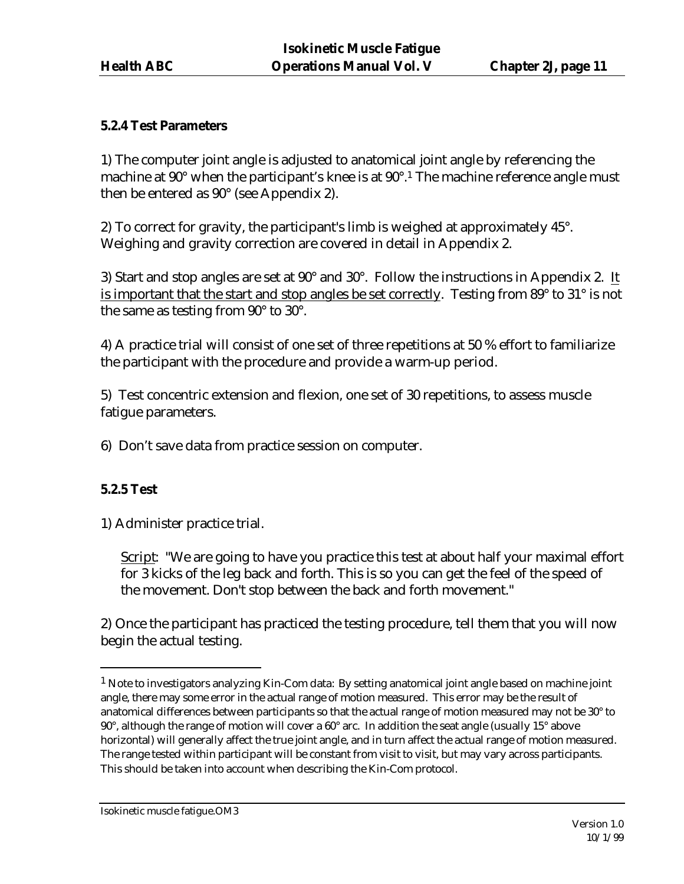#### **5.2.4 Test Parameters**

1) The computer joint angle is adjusted to anatomical joint angle by referencing the machine at 90° when the participant's knee is at 90°.<sup>1</sup> The machine reference angle must then be entered as 90° (see Appendix 2).

2) To correct for gravity, the participant's limb is weighed at approximately 45°. Weighing and gravity correction are covered in detail in Appendix 2.

3) Start and stop angles are set at 90° and 30°.Follow the instructions in Appendix 2. It is important that the start and stop angles be set correctly. Testing from 89° to 31° is not the same as testing from 90° to 30°.

4) A practice trial will consist of one set of three repetitions at 50 % effort to familiarize the participant with the procedure and provide a warm-up period.

5) Test concentric extension and flexion, one set of 30 repetitions, to assess muscle fatigue parameters.

6) Don't save data from practice session on computer.

#### **5.2.5 Test**

 $\overline{a}$ 

1) Administer practice trial.

Script: "We are going to have you practice this test at about half your maximal effort for 3 kicks of the leg back and forth. This is so you can get the feel of the speed of the movement. Don't stop between the back and forth movement."

2) Once the participant has practiced the testing procedure, tell them that you will now begin the actual testing.

 $<sup>1</sup>$  Note to investigators analyzing Kin-Com data: By setting anatomical joint angle based on machine joint</sup> angle, there may some error in the actual range of motion measured. This error may be the result of anatomical differences between participants so that the actual range of motion measured may not be 30° to 90°, although the range of motion will cover a 60° arc. In addition the seat angle (usually 15° above horizontal) will generally affect the true joint angle, and in turn affect the actual range of motion measured. The range tested within participant will be constant from visit to visit, but may vary across participants. This should be taken into account when describing the Kin-Com protocol.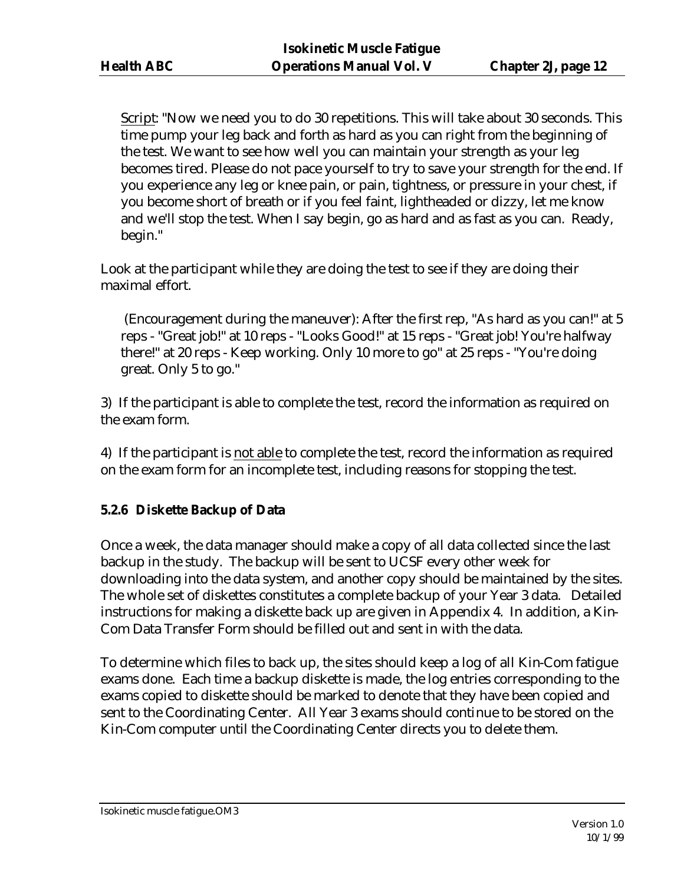Script: "Now we need you to do 30 repetitions. This will take about 30 seconds. This time pump your leg back and forth as hard as you can right from the beginning of the test. We want to see how well you can maintain your strength as your leg becomes tired. Please do not pace yourself to try to save your strength for the end. If you experience any leg or knee pain, or pain, tightness, or pressure in your chest, if you become short of breath or if you feel faint, lightheaded or dizzy, let me know and we'll stop the test. When I say begin, go as hard and as fast as you can.Ready, begin."

Look at the participant while they are doing the test to see if they are doing their maximal effort.

 (Encouragement during the maneuver): After the first rep, "As hard as you can!" at 5 reps - "Great job!" at 10 reps - "Looks Good!" at 15 reps - "Great job! You're halfway there!" at 20 reps - Keep working. Only 10 more to go" at 25 reps - "You're doing great. Only 5 to go."

3) If the participant is able to complete the test, record the information as required on the exam form.

4) If the participant is not able to complete the test, record the information as required on the exam form for an incomplete test, including reasons for stopping the test.

# **5.2.6 Diskette Backup of Data**

Once a week, the data manager should make a copy of all data collected since the last backup in the study. The backup will be sent to UCSF every other week for downloading into the data system, and another copy should be maintained by the sites. The whole set of diskettes constitutes a complete backup of your Year 3 data. Detailed instructions for making a diskette back up are given in Appendix 4. In addition, a Kin-Com Data Transfer Form should be filled out and sent in with the data.

To determine which files to back up, the sites should keep a log of all Kin-Com fatigue exams done. Each time a backup diskette is made, the log entries corresponding to the exams copied to diskette should be marked to denote that they have been copied and sent to the Coordinating Center. All Year 3 exams should continue to be stored on the Kin-Com computer until the Coordinating Center directs you to delete them.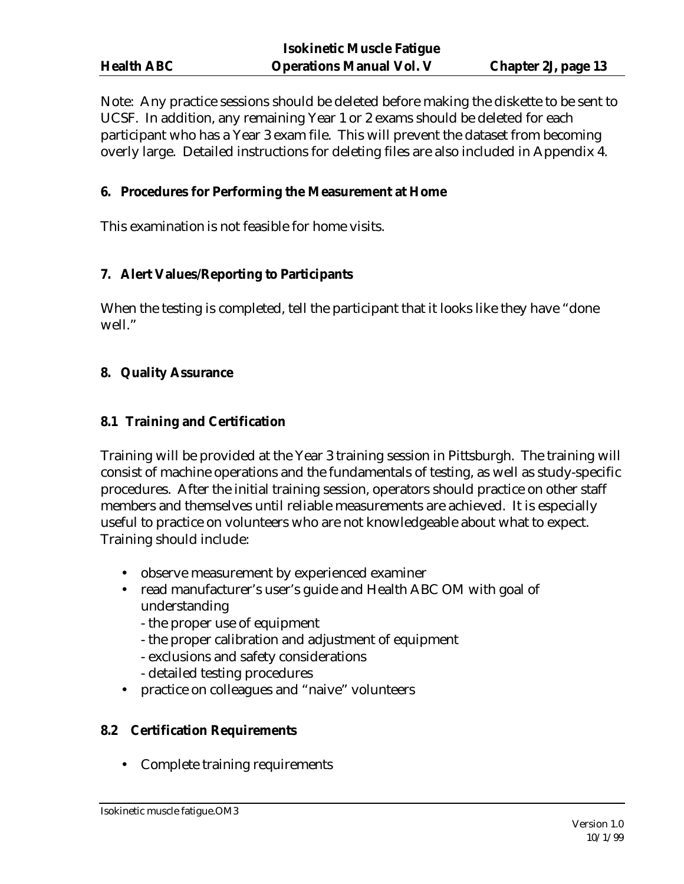| <b>Isokinetic Muscle Fatigue</b> |                                 |                            |  |  |
|----------------------------------|---------------------------------|----------------------------|--|--|
| <b>Health ABC</b>                | <b>Operations Manual Vol. V</b> | <b>Chapter 2J, page 13</b> |  |  |

Note: Any practice sessions should be deleted before making the diskette to be sent to UCSF. In addition, any remaining Year 1 or 2 exams should be deleted for each participant who has a Year 3 exam file. This will prevent the dataset from becoming overly large. Detailed instructions for deleting files are also included in Appendix 4.

#### **6. Procedures for Performing the Measurement at Home**

This examination is not feasible for home visits.

#### **7. Alert Values/Reporting to Participants**

When the testing is completed, tell the participant that it looks like they have "done well."

#### **8. Quality Assurance**

#### **8.1 Training and Certification**

Training will be provided at the Year 3 training session in Pittsburgh. The training will consist of machine operations and the fundamentals of testing, as well as study-specific procedures. After the initial training session, operators should practice on other staff members and themselves until reliable measurements are achieved. It is especially useful to practice on volunteers who are not knowledgeable about what to expect. Training should include:

- observe measurement by experienced examiner
- read manufacturer's user's guide and Health ABC OM with goal of understanding
	- the proper use of equipment
	- the proper calibration and adjustment of equipment
	- exclusions and safety considerations
	- detailed testing procedures
- practice on colleagues and "naive" volunteers

#### **8.2 Certification Requirements**

• Complete training requirements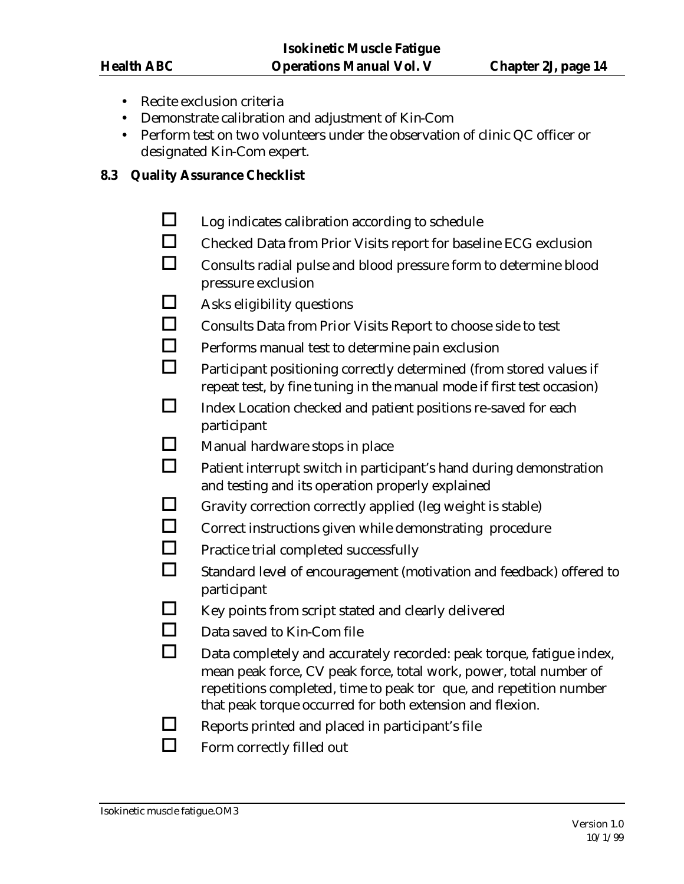- Recite exclusion criteria
- Demonstrate calibration and adjustment of Kin-Com
- Perform test on two volunteers under the observation of clinic QC officer or designated Kin-Com expert.

#### **8.3 Quality Assurance Checklist**

- $\Box$  Log indicates calibration according to schedule
- $\Box$  Checked Data from Prior Visits report for baseline ECG exclusion
- $\Box$  Consults radial pulse and blood pressure form to determine blood pressure exclusion
- $\Box$  Asks eligibility questions
- $\Box$  Consults Data from Prior Visits Report to choose side to test
- $\Box$  Performs manual test to determine pain exclusion
- $\Box$  Participant positioning correctly determined (from stored values if repeat test, by fine tuning in the manual mode if first test occasion)
- $\Box$  Index Location checked and patient positions re-saved for each participant
- $\Box$  Manual hardware stops in place
- $\Box$  Patient interrupt switch in participant's hand during demonstration and testing and its operation properly explained
- $\Box$  Gravity correction correctly applied (leg weight is stable)
- $\Box$  Correct instructions given while demonstrating procedure
- $\Box$  Practice trial completed successfully
- $\Box$  Standard level of encouragement (motivation and feedback) offered to participant
- $\Box$  Key points from script stated and clearly delivered
- $\Box$  Data saved to Kin-Com file
- $\Box$  Data completely and accurately recorded: peak torque, fatigue index, mean peak force, CV peak force, total work, power, total number of repetitions completed, time to peak tor que, and repetition number that peak torque occurred for both extension and flexion.
- $\Box$  Reports printed and placed in participant's file
- $\Box$  Form correctly filled out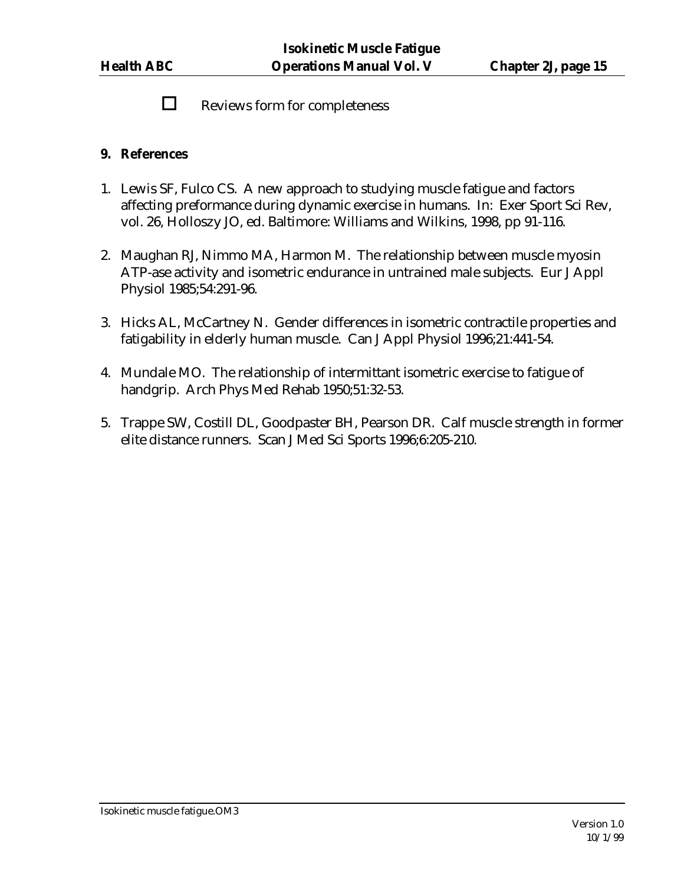$\Box$  Reviews form for completeness

#### **9. References**

- 1. Lewis SF, Fulco CS. A new approach to studying muscle fatigue and factors affecting preformance during dynamic exercise in humans. In: Exer Sport Sci Rev, vol. 26, Holloszy JO, ed. Baltimore: Williams and Wilkins, 1998, pp 91-116.
- 2. Maughan RJ, Nimmo MA, Harmon M. The relationship between muscle myosin ATP-ase activity and isometric endurance in untrained male subjects. Eur J Appl Physiol 1985;54:291-96.
- 3. Hicks AL, McCartney N. Gender differences in isometric contractile properties and fatigability in elderly human muscle. Can J Appl Physiol 1996;21:441-54.
- 4. Mundale MO. The relationship of intermittant isometric exercise to fatigue of handgrip. Arch Phys Med Rehab 1950;51:32-53.
- 5. Trappe SW, Costill DL, Goodpaster BH, Pearson DR. Calf muscle strength in former elite distance runners. Scan J Med Sci Sports 1996;6:205-210.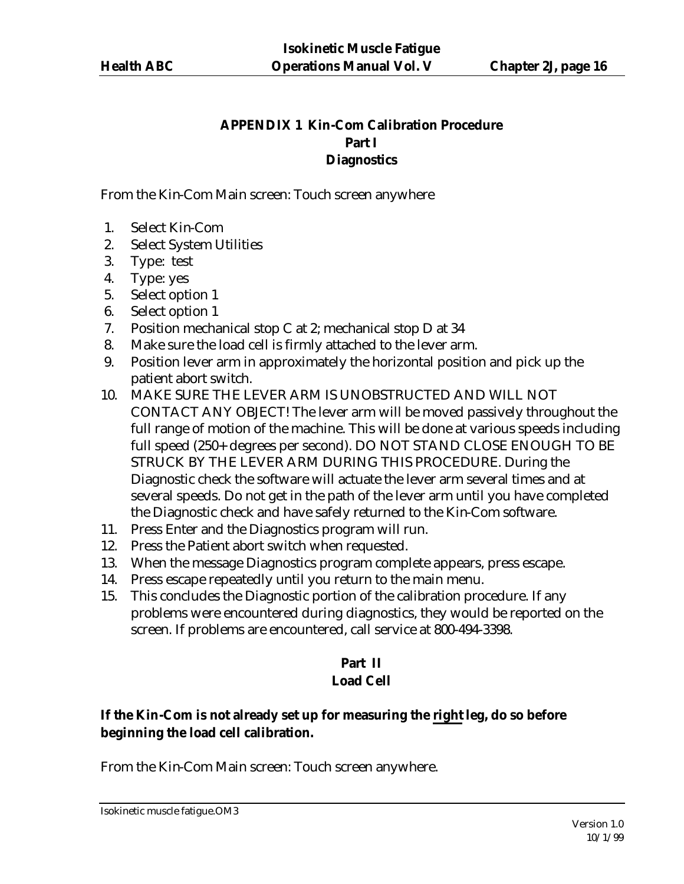## **APPENDIX 1 Kin-Com Calibration Procedure Part I Diagnostics**

From the Kin-Com Main screen: Touch screen anywhere

- 1. Select Kin-Com
- 2. Select System Utilities
- 3. Type: test
- 4. Type: yes
- 5. Select option 1
- 6. Select option 1
- 7. Position mechanical stop C at 2; mechanical stop D at 34
- 8. Make sure the load cell is firmly attached to the lever arm.
- 9. Position lever arm in approximately the horizontal position and pick up the patient abort switch.
- 10. MAKE SURE THE LEVER ARM IS UNOBSTRUCTED AND WILL NOT CONTACT ANY OBJECT! The lever arm will be moved passively throughout the full range of motion of the machine. This will be done at various speeds including full speed (250+ degrees per second). DO NOT STAND CLOSE ENOUGH TO BE STRUCK BY THE LEVER ARM DURING THIS PROCEDURE. During the Diagnostic check the software will actuate the lever arm several times and at several speeds. Do not get in the path of the lever arm until you have completed the Diagnostic check and have safely returned to the Kin-Com software.
- 11. Press Enter and the Diagnostics program will run.
- 12. Press the Patient abort switch when requested.
- 13. When the message Diagnostics program complete appears, press escape.
- 14. Press escape repeatedly until you return to the main menu.
- 15. This concludes the Diagnostic portion of the calibration procedure. If any problems were encountered during diagnostics, they would be reported on the screen. If problems are encountered, call service at 800-494-3398.

#### **Part II Load Cell**

# **If the Kin-Com is not already set up for measuring the right leg, do so before beginning the load cell calibration.**

From the Kin-Com Main screen: Touch screen anywhere.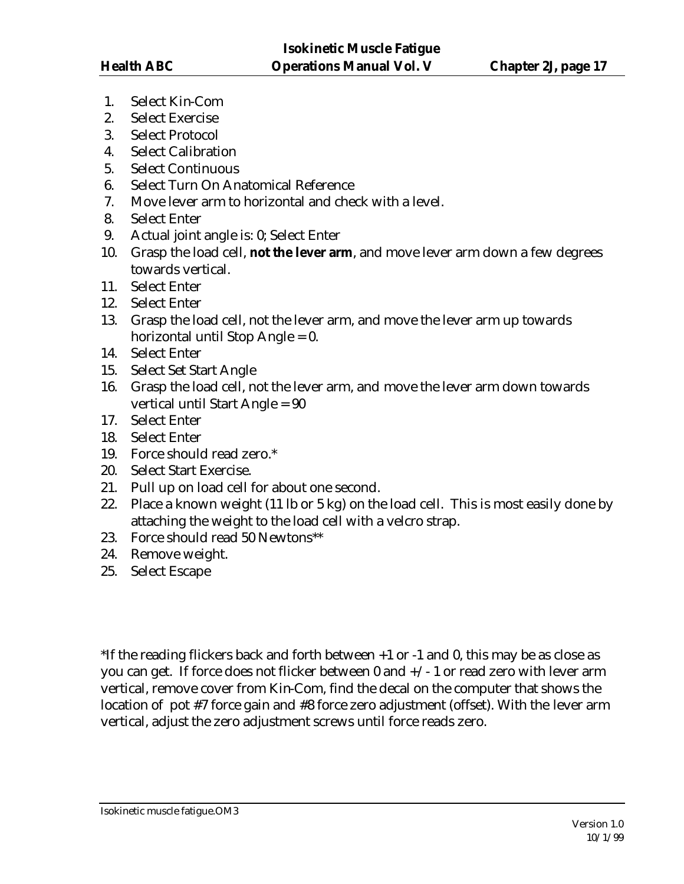- 1. Select Kin-Com
- 2. Select Exercise
- 3. Select Protocol
- 4. Select Calibration
- 5. Select Continuous
- 6. Select Turn On Anatomical Reference
- 7. Move lever arm to horizontal and check with a level.
- 8. Select Enter
- 9. Actual joint angle is: 0; Select Enter
- 10. Grasp the load cell, **not the lever arm**, and move lever arm down a few degrees towards vertical.
- 11. Select Enter
- 12. Select Enter
- 13. Grasp the load cell, not the lever arm, and move the lever arm up towards horizontal until Stop Angle = 0.
- 14. Select Enter
- 15. Select Set Start Angle
- 16. Grasp the load cell, not the lever arm, and move the lever arm down towards vertical until Start Angle = 90
- 17. Select Enter
- 18. Select Enter
- 19. Force should read zero.\*
- 20. Select Start Exercise.
- 21. Pull up on load cell for about one second.
- 22. Place a known weight (11 lb or 5 kg) on the load cell. This is most easily done by attaching the weight to the load cell with a velcro strap.
- 23. Force should read 50 Newtons\*\*
- 24. Remove weight.
- 25. Select Escape

\*If the reading flickers back and forth between +1 or -1 and 0, this may be as close as you can get. If force does not flicker between  $0$  and  $+\prime$  - 1 or read zero with lever arm vertical, remove cover from Kin-Com, find the decal on the computer that shows the location of pot #7 force gain and #8 force zero adjustment (offset). With the lever arm vertical, adjust the zero adjustment screws until force reads zero.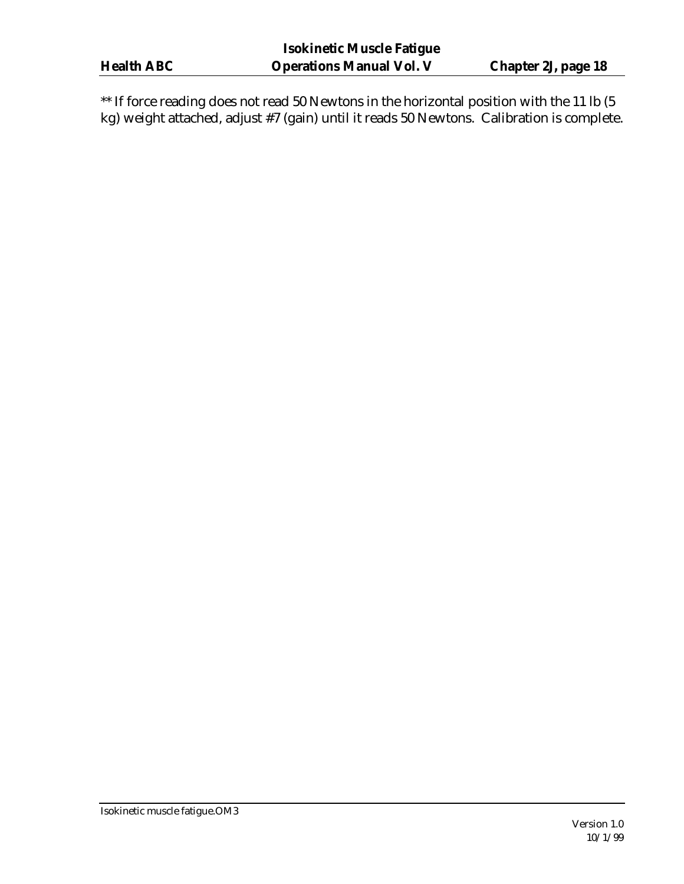$\hspace{0.1mm}$  \*\* If force reading does not read 50 Newtons in the horizontal position with the 11 lb (5 kg) weight attached, adjust #7 (gain) until it reads 50 Newtons. Calibration is complete.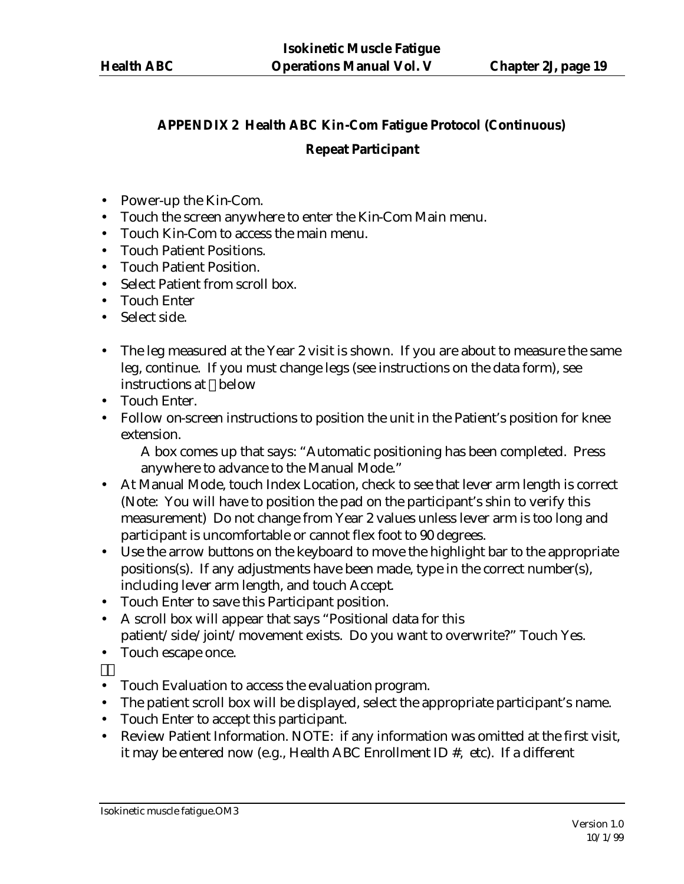# **APPENDIX 2 Health ABC Kin-Com Fatigue Protocol (Continuous) Repeat Participant**

- Power-up the Kin-Com.
- Touch the screen anywhere to enter the Kin-Com Main menu.
- Touch Kin-Com to access the main menu.
- Touch Patient Positions.
- Touch Patient Position.
- Select Patient from scroll box.
- Touch Enter
- Select side.
- The leg measured at the Year 2 visit is shown. If you are about to measure the same leg, continue. If you must change legs (see instructions on the data form), see instructions at below
- Touch Enter.
- Follow on-screen instructions to position the unit in the Patient's position for knee extension.

A box comes up that says: "Automatic positioning has been completed. Press anywhere to advance to the Manual Mode."

- At Manual Mode, touch Index Location, check to see that lever arm length is correct (Note: You will have to position the pad on the participant's shin to verify this measurement) Do not change from Year 2 values unless lever arm is too long and participant is uncomfortable or cannot flex foot to 90 degrees.
- Use the arrow buttons on the keyboard to move the highlight bar to the appropriate positions(s). If any adjustments have been made, type in the correct number(s), including lever arm length, and touch Accept.
- Touch Enter to save this Participant position.
- A scroll box will appear that says "Positional data for this patient/side/joint/movement exists. Do you want to overwrite?" Touch Yes.
- Touch escape once.
- Touch Evaluation to access the evaluation program.
- The patient scroll box will be displayed, select the appropriate participant's name.
- Touch Enter to accept this participant.
- Review Patient Information. NOTE: if any information was omitted at the first visit, it may be entered now (e.g., Health ABC Enrollment ID #, etc). If a different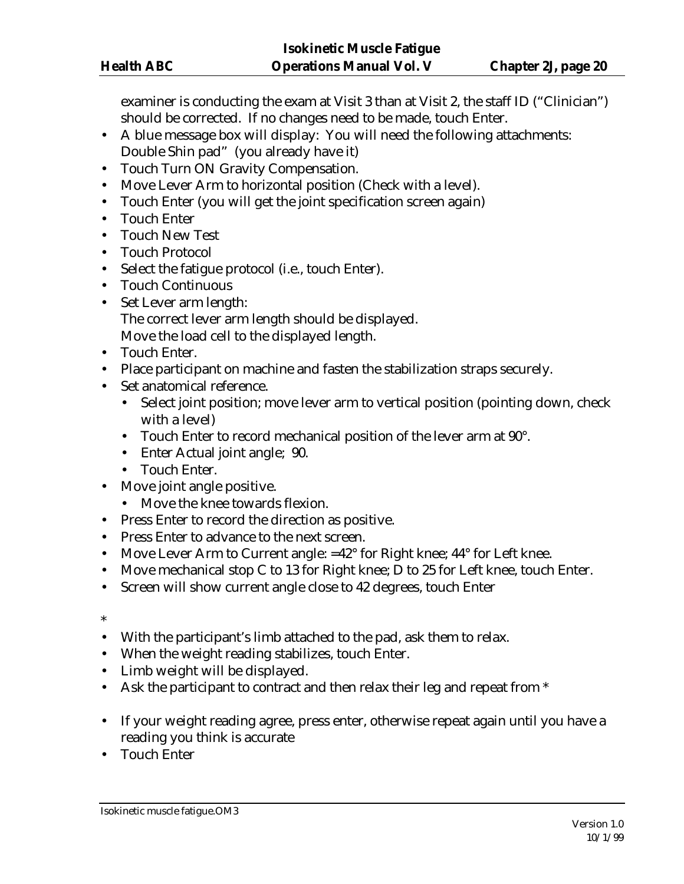examiner is conducting the exam at Visit 3 than at Visit 2, the staff ID ("Clinician") should be corrected. If no changes need to be made, touch Enter.

- A blue message box will display: You will need the following attachments: Double Shin pad" (you already have it)
- Touch Turn ON Gravity Compensation.
- Move Lever Arm to horizontal position (Check with a level).
- Touch Enter (you will get the joint specification screen again)
- Touch Enter
- Touch New Test
- Touch Protocol
- Select the fatigue protocol (i.e., touch Enter).
- Touch Continuous
- Set Lever arm length: The correct lever arm length should be displayed. Move the load cell to the displayed length.
- Touch Enter.
- Place participant on machine and fasten the stabilization straps securely.
- Set anatomical reference.
	- Select joint position; move lever arm to vertical position (pointing down, check with a level)
	- Touch Enter to record mechanical position of the lever arm at 90°.
	- Enter Actual joint angle; 90.
	- Touch Enter.
- Move joint angle positive.
	- Move the knee towards flexion.
- Press Enter to record the direction as positive.
- Press Enter to advance to the next screen.
- Move Lever Arm to Current angle: =42° for Right knee; 44° for Left knee.
- Move mechanical stop C to 13 for Right knee; D to 25 for Left knee, touch Enter.
- Screen will show current angle close to 42 degrees, touch Enter
- \*
- With the participant's limb attached to the pad, ask them to relax.
- When the weight reading stabilizes, touch Enter.
- Limb weight will be displayed.
- Ask the participant to contract and then relax their leg and repeat from \*
- If your weight reading agree, press enter, otherwise repeat again until you have a reading you think is accurate
- Touch Enter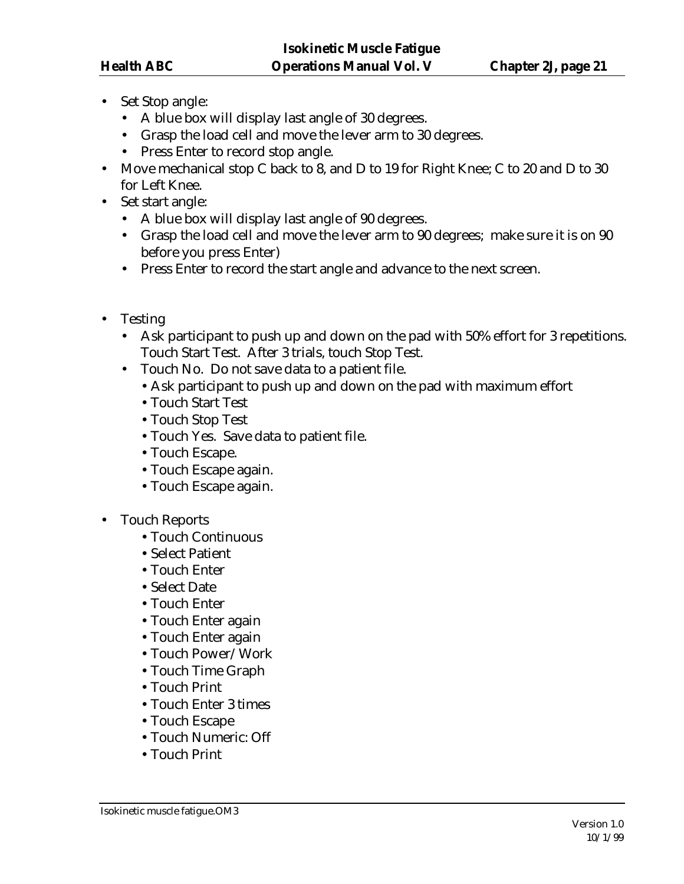- Set Stop angle:
	- A blue box will display last angle of 30 degrees.
	- Grasp the load cell and move the lever arm to 30 degrees.
	- Press Enter to record stop angle.
- Move mechanical stop C back to 8, and D to 19 for Right Knee; C to 20 and D to 30 for Left Knee.
- Set start angle:
	- A blue box will display last angle of 90 degrees.
	- Grasp the load cell and move the lever arm to 90 degrees; make sure it is on 90 before you press Enter)
	- Press Enter to record the start angle and advance to the next screen.
- Testing
	- Ask participant to push up and down on the pad with 50% effort for 3 repetitions. Touch Start Test. After 3 trials, touch Stop Test.
	- Touch No. Do not save data to a patient file.
		- •Ask participant to push up and down on the pad with maximum effort
		- •Touch Start Test
		- •Touch Stop Test
		- •Touch Yes. Save data to patient file.
		- •Touch Escape.
		- •Touch Escape again.
		- •Touch Escape again.
- Touch Reports
	- •Touch Continuous
	- •Select Patient
	- •Touch Enter
	- •Select Date
	- •Touch Enter
	- •Touch Enter again
	- •Touch Enter again
	- •Touch Power/Work
	- •Touch Time Graph
	- •Touch Print
	- •Touch Enter 3 times
	- •Touch Escape
	- •Touch Numeric: Off
	- •Touch Print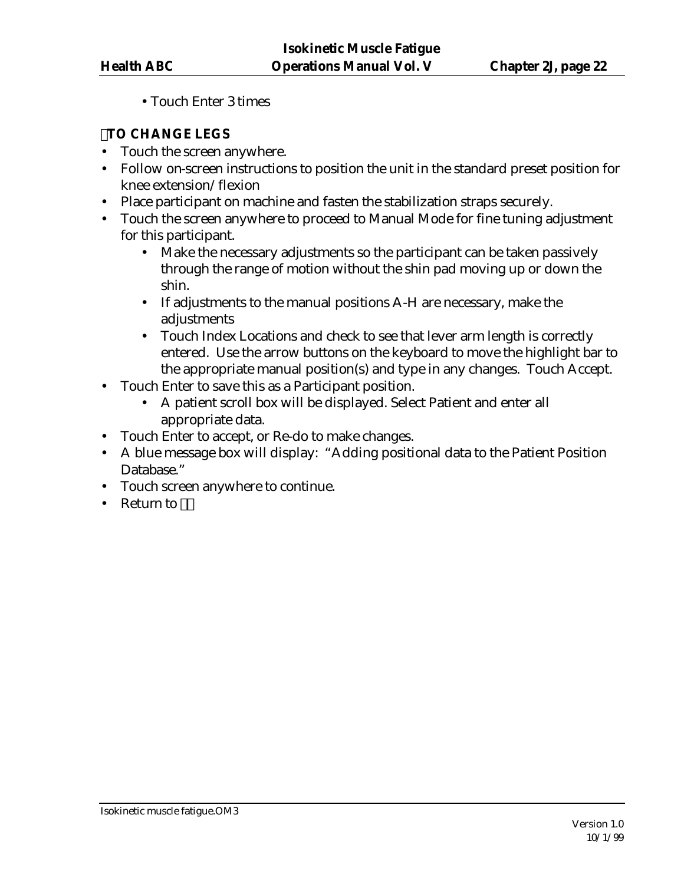•Touch Enter 3 times

# **TO CHANGE LEGS**

- Touch the screen anywhere.
- Follow on-screen instructions to position the unit in the standard preset position for knee extension/flexion
- Place participant on machine and fasten the stabilization straps securely.
- Touch the screen anywhere to proceed to Manual Mode for fine tuning adjustment for this participant.
	- Make the necessary adjustments so the participant can be taken passively through the range of motion without the shin pad moving up or down the shin.
	- If adjustments to the manual positions A-H are necessary, make the adjustments
	- Touch Index Locations and check to see that lever arm length is correctly entered. Use the arrow buttons on the keyboard to move the highlight bar to the appropriate manual position(s) and type in any changes. Touch Accept.
- Touch Enter to save this as a Participant position.
	- A patient scroll box will be displayed. Select Patient and enter all appropriate data.
- Touch Enter to accept, or Re-do to make changes.
- A blue message box will display: "Adding positional data to the Patient Position Database."
- Touch screen anywhere to continue.
- Return to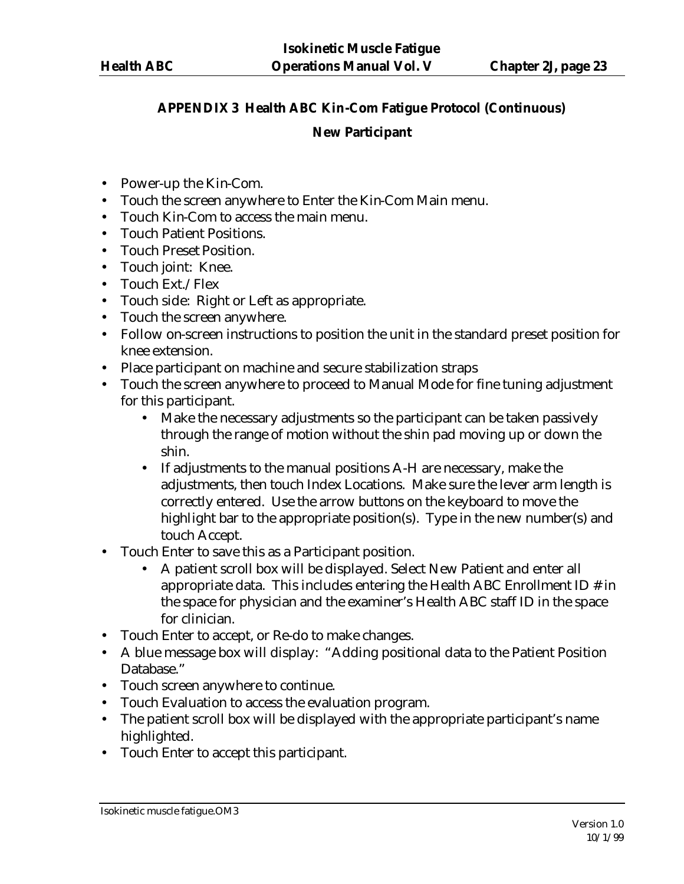# **APPENDIX 3 Health ABC Kin-Com Fatigue Protocol (Continuous)**

# **New Participant**

- Power-up the Kin-Com.
- Touch the screen anywhere to Enter the Kin-Com Main menu.
- Touch Kin-Com to access the main menu.
- Touch Patient Positions.
- Touch Preset Position.
- Touch joint: Knee.
- Touch Ext./Flex
- Touch side: Right or Left as appropriate.
- Touch the screen anywhere.
- Follow on-screen instructions to position the unit in the standard preset position for knee extension.
- Place participant on machine and secure stabilization straps
- Touch the screen anywhere to proceed to Manual Mode for fine tuning adjustment for this participant.
	- Make the necessary adjustments so the participant can be taken passively through the range of motion without the shin pad moving up or down the shin.
	- If adjustments to the manual positions A-H are necessary, make the adjustments, then touch Index Locations. Make sure the lever arm length is correctly entered. Use the arrow buttons on the keyboard to move the highlight bar to the appropriate position(s). Type in the new number(s) and touch Accept.
- Touch Enter to save this as a Participant position.
	- A patient scroll box will be displayed. Select New Patient and enter all appropriate data. This includes entering the Health ABC Enrollment ID # in the space for physician and the examiner's Health ABC staff ID in the space for clinician.
- Touch Enter to accept, or Re-do to make changes.
- A blue message box will display: "Adding positional data to the Patient Position Database."
- Touch screen anywhere to continue.
- Touch Evaluation to access the evaluation program.
- The patient scroll box will be displayed with the appropriate participant's name highlighted.
- Touch Enter to accept this participant.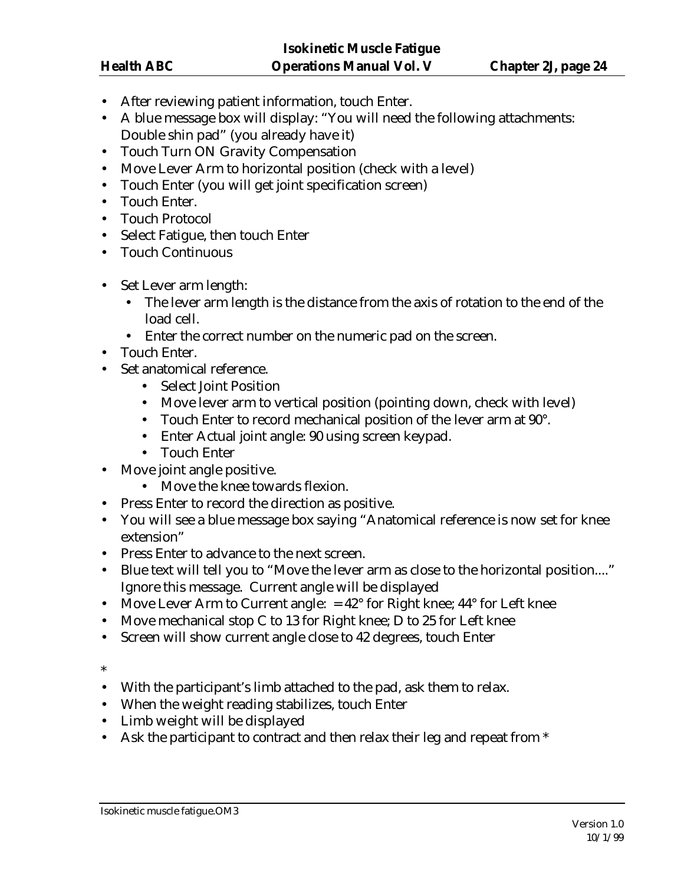- After reviewing patient information, touch Enter.
- A blue message box will display: "You will need the following attachments: Double shin pad" (you already have it)
- Touch Turn ON Gravity Compensation
- Move Lever Arm to horizontal position (check with a level)
- Touch Enter (you will get joint specification screen)
- Touch Enter.
- Touch Protocol
- Select Fatigue, then touch Enter
- Touch Continuous
- Set Lever arm length:
	- The lever arm length is the distance from the axis of rotation to the end of the load cell.
	- Enter the correct number on the numeric pad on the screen.
- Touch Enter.
- Set anatomical reference.
	- Select Joint Position
	- Move lever arm to vertical position (pointing down, check with level)
	- Touch Enter to record mechanical position of the lever arm at 90°.
	- Enter Actual joint angle: 90 using screen keypad.
	- Touch Enter
- Move joint angle positive.
	- Move the knee towards flexion.
- Press Enter to record the direction as positive.
- You will see a blue message box saying "Anatomical reference is now set for knee extension"
- Press Enter to advance to the next screen.
- Blue text will tell you to "Move the lever arm as close to the horizontal position...." Ignore this message. Current angle will be displayed
- Move Lever Arm to Current angle:  $= 42^{\circ}$  for Right knee;  $44^{\circ}$  for Left knee
- Move mechanical stop C to 13 for Right knee; D to 25 for Left knee
- Screen will show current angle close to 42 degrees, touch Enter

\*

- With the participant's limb attached to the pad, ask them to relax.
- When the weight reading stabilizes, touch Enter
- Limb weight will be displayed
- Ask the participant to contract and then relax their leg and repeat from \*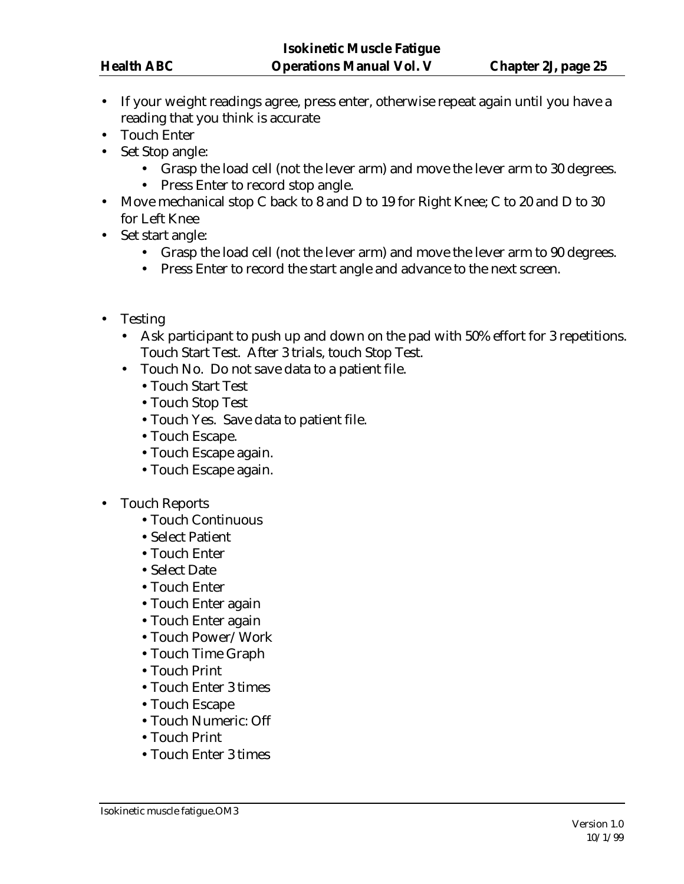- If your weight readings agree, press enter, otherwise repeat again until you have a reading that you think is accurate
- Touch Enter
- Set Stop angle:
	- Grasp the load cell (not the lever arm) and move the lever arm to 30 degrees.
	- Press Enter to record stop angle.
- Move mechanical stop C back to 8 and D to 19 for Right Knee; C to 20 and D to 30 for Left Knee
- Set start angle:
	- Grasp the load cell (not the lever arm) and move the lever arm to 90 degrees.
	- Press Enter to record the start angle and advance to the next screen.
- Testing
	- Ask participant to push up and down on the pad with 50% effort for 3 repetitions. Touch Start Test. After 3 trials, touch Stop Test.
	- Touch No. Do not save data to a patient file.
		- •Touch Start Test
		- •Touch Stop Test
		- •Touch Yes. Save data to patient file.
		- •Touch Escape.
		- •Touch Escape again.
		- •Touch Escape again.
- Touch Reports
	- •Touch Continuous
	- •Select Patient
	- •Touch Enter
	- •Select Date
	- •Touch Enter
	- •Touch Enter again
	- •Touch Enter again
	- •Touch Power/Work
	- •Touch Time Graph
	- •Touch Print
	- •Touch Enter 3 times
	- •Touch Escape
	- •Touch Numeric: Off
	- •Touch Print
	- •Touch Enter 3 times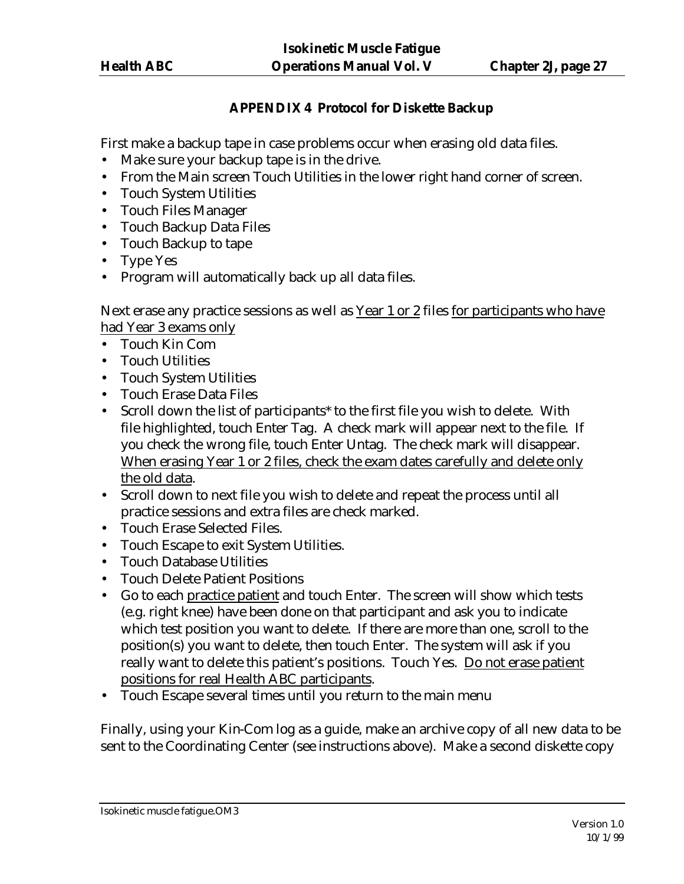# **APPENDIX 4 Protocol for Diskette Backup**

First make a backup tape in case problems occur when erasing old data files.

- Make sure your backup tape is in the drive.
- From the Main screen Touch Utilities in the lower right hand corner of screen.
- Touch System Utilities
- Touch Files Manager
- Touch Backup Data Files
- Touch Backup to tape
- Type Yes
- Program will automatically back up all data files.

Next erase any practice sessions as well as Year 1 or 2 files for participants who have had Year 3 exams only

- Touch Kin Com
- Touch Utilities
- Touch System Utilities
- Touch Erase Data Files
- Scroll down the list of participants\* to the first file you wish to delete. With file highlighted, touch Enter Tag. A check mark will appear next to the file. If you check the wrong file, touch Enter Untag. The check mark will disappear. When erasing Year 1 or 2 files, check the exam dates carefully and delete only the old data.
- Scroll down to next file you wish to delete and repeat the process until all practice sessions and extra files are check marked.
- Touch Erase Selected Files.
- Touch Escape to exit System Utilities.
- Touch Database Utilities
- Touch Delete Patient Positions
- Go to each practice patient and touch Enter. The screen will show which tests (e.g. right knee) have been done on that participant and ask you to indicate which test position you want to delete. If there are more than one, scroll to the position(s) you want to delete, then touch Enter. The system will ask if you really want to delete this patient's positions. Touch Yes. Do not erase patient positions for real Health ABC participants.
- Touch Escape several times until you return to the main menu

Finally, using your Kin-Com log as a guide, make an archive copy of all new data to be sent to the Coordinating Center (see instructions above). Make a second diskette copy